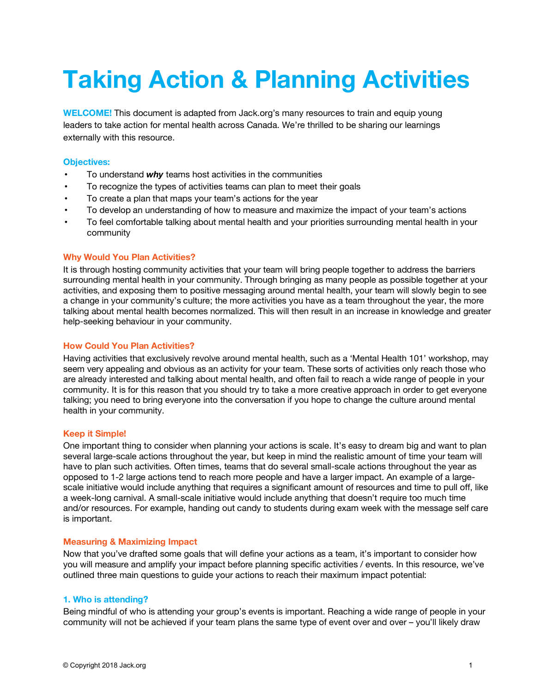# **Taking Action & Planning Activities**

**WELCOME!** This document is adapted from Jack.org's many resources to train and equip young leaders to take action for mental health across Canada. We're thrilled to be sharing our learnings externally with this resource.

# **Objectives:**

- To understand *why* teams host activities in the communities
- To recognize the types of activities teams can plan to meet their goals
- To create a plan that maps your team's actions for the year
- To develop an understanding of how to measure and maximize the impact of your team's actions
- To feel comfortable talking about mental health and your priorities surrounding mental health in your community

# **Why Would You Plan Activities?**

It is through hosting community activities that your team will bring people together to address the barriers surrounding mental health in your community. Through bringing as many people as possible together at your activities, and exposing them to positive messaging around mental health, your team will slowly begin to see a change in your community's culture; the more activities you have as a team throughout the year, the more talking about mental health becomes normalized. This will then result in an increase in knowledge and greater help-seeking behaviour in your community.

# **How Could You Plan Activities?**

Having activities that exclusively revolve around mental health, such as a 'Mental Health 101' workshop, may seem very appealing and obvious as an activity for your team. These sorts of activities only reach those who are already interested and talking about mental health, and often fail to reach a wide range of people in your community. It is for this reason that you should try to take a more creative approach in order to get everyone talking; you need to bring everyone into the conversation if you hope to change the culture around mental health in your community.

# **Keep it Simple!**

One important thing to consider when planning your actions is scale. It's easy to dream big and want to plan several large-scale actions throughout the year, but keep in mind the realistic amount of time your team will have to plan such activities. Often times, teams that do several small-scale actions throughout the year as opposed to 1-2 large actions tend to reach more people and have a larger impact. An example of a largescale initiative would include anything that requires a significant amount of resources and time to pull off, like a week-long carnival. A small-scale initiative would include anything that doesn't require too much time and/or resources. For example, handing out candy to students during exam week with the message self care is important.

# **Measuring & Maximizing Impact**

Now that you've drafted some goals that will define your actions as a team, it's important to consider how you will measure and amplify your impact before planning specific activities / events. In this resource, we've outlined three main questions to guide your actions to reach their maximum impact potential:

# **1. Who is attending?**

Being mindful of who is attending your group's events is important. Reaching a wide range of people in your community will not be achieved if your team plans the same type of event over and over – you'll likely draw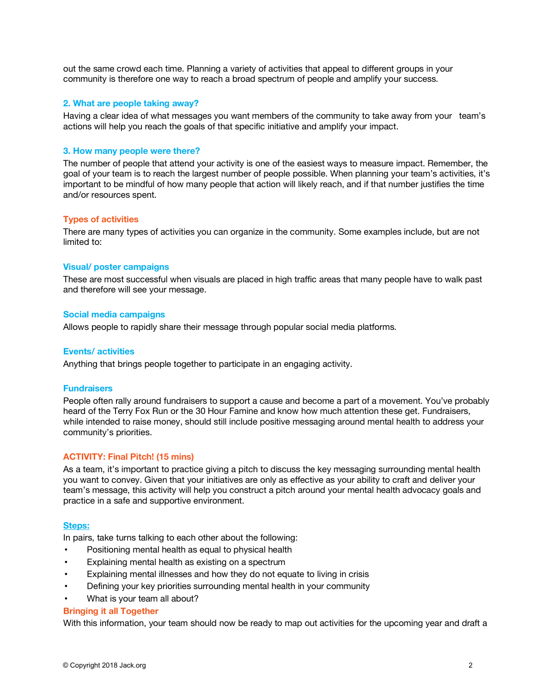out the same crowd each time. Planning a variety of activities that appeal to different groups in your community is therefore one way to reach a broad spectrum of people and amplify your success.

## **2. What are people taking away?**

Having a clear idea of what messages you want members of the community to take away from your team's actions will help you reach the goals of that specific initiative and amplify your impact.

# **3. How many people were there?**

The number of people that attend your activity is one of the easiest ways to measure impact. Remember, the goal of your team is to reach the largest number of people possible. When planning your team's activities, it's important to be mindful of how many people that action will likely reach, and if that number justifies the time and/or resources spent.

## **Types of activities**

There are many types of activities you can organize in the community. Some examples include, but are not limited to:

## **Visual/ poster campaigns**

These are most successful when visuals are placed in high traffic areas that many people have to walk past and therefore will see your message.

### **Social media campaigns**

Allows people to rapidly share their message through popular social media platforms.

### **Events/ activities**

Anything that brings people together to participate in an engaging activity.

## **Fundraisers**

People often rally around fundraisers to support a cause and become a part of a movement. You've probably heard of the Terry Fox Run or the 30 Hour Famine and know how much attention these get. Fundraisers, while intended to raise money, should still include positive messaging around mental health to address your community's priorities.

# **ACTIVITY: Final Pitch! (15 mins)**

As a team, it's important to practice giving a pitch to discuss the key messaging surrounding mental health you want to convey. Given that your initiatives are only as effective as your ability to craft and deliver your team's message, this activity will help you construct a pitch around your mental health advocacy goals and practice in a safe and supportive environment.

### **Steps:**

In pairs, take turns talking to each other about the following:

- Positioning mental health as equal to physical health
- Explaining mental health as existing on a spectrum
- Explaining mental illnesses and how they do not equate to living in crisis
- Defining your key priorities surrounding mental health in your community
- What is your team all about?

### **Bringing it all Together**

With this information, your team should now be ready to map out activities for the upcoming year and draft a